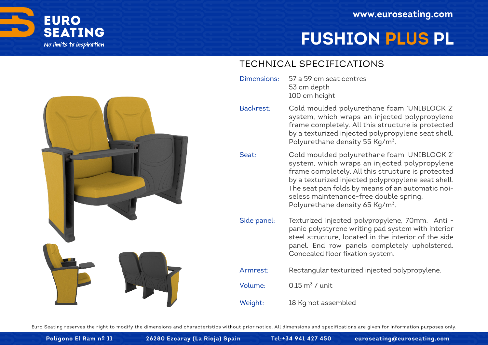

# **FUSHION PLUS PL**

### TECHNICAL SPECIFICATIONS

- 57 a 59 cm seat centres 53 cm depth 100 cm height Dimensions:
	- Cold moulded polyurethane foam 'UNIBLOCK 2' system, which wraps an injected polypropylene frame completely. All this structure is protected by a texturized injected polypropylene seat shell. Polyurethane density 55 Kg/m<sup>3</sup>. Backrest:
	- Cold moulded polyurethane foam 'UNIBLOCK 2' system, which wraps an injected polypropylene frame completely. All this structure is protected by a texturized injected polypropylene seat shell. The seat pan folds by means of an automatic noiseless maintenance-free double spring. Polyurethane density 65 Kg/m<sup>3</sup>. Seat:
	- Texturized injected polypropylene, 70mm. Anti panic polystyrene writing pad system with interior steel structure, located in the interior of the side panel. End row panels completely upholstered. Concealed floor fixation system. Side panel:
	- Rectangular texturized injected polypropylene. Armrest:
	- 0.15  $m^3$  / unit Volume:
	- 18 Kg not assembled Weight:

Euro Seating reserves the right to modify the dimensions and characteristics without prior notice. All dimensions and specifications are given for information purposes only.